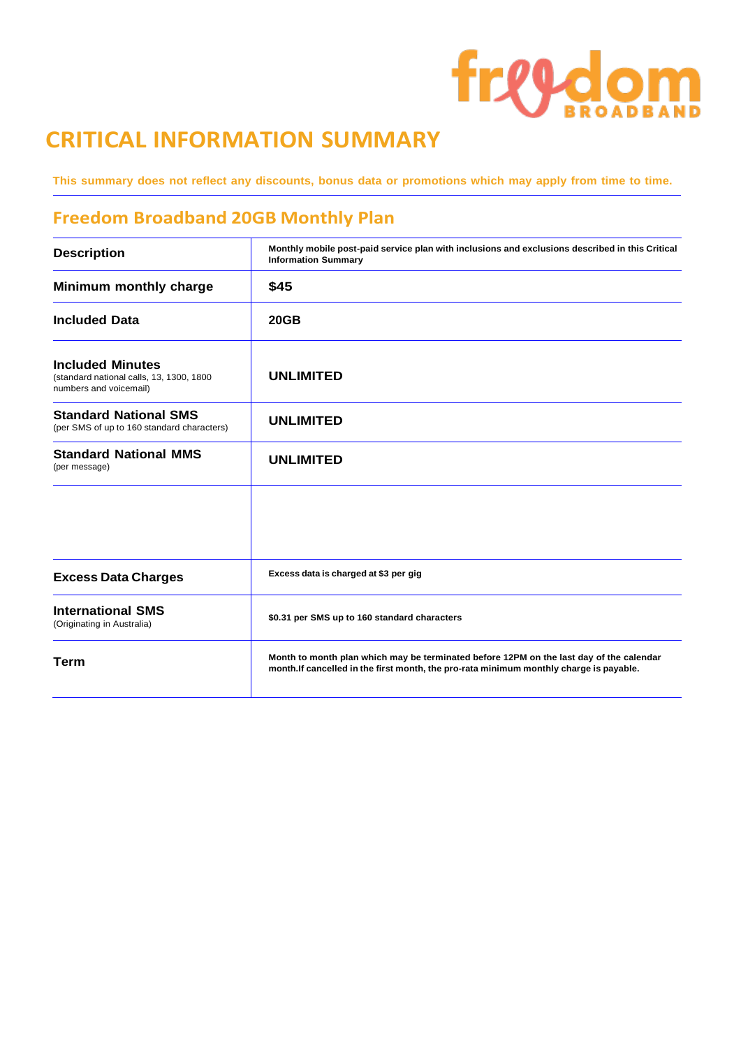# freedom

## **CRITICAL INFORMATION SUMMARY**

This summary does not reflect any discounts, bonus data or promotions which may apply from time to time.

### **Freedom Broadband 20GB Monthly Plan**

| <b>Description</b>                                                                            | Monthly mobile post-paid service plan with inclusions and exclusions described in this Critical<br><b>Information Summary</b>                                                      |
|-----------------------------------------------------------------------------------------------|------------------------------------------------------------------------------------------------------------------------------------------------------------------------------------|
| Minimum monthly charge                                                                        | \$45                                                                                                                                                                               |
| <b>Included Data</b>                                                                          | <b>20GB</b>                                                                                                                                                                        |
| <b>Included Minutes</b><br>(standard national calls, 13, 1300, 1800<br>numbers and voicemail) | <b>UNLIMITED</b>                                                                                                                                                                   |
| <b>Standard National SMS</b><br>(per SMS of up to 160 standard characters)                    | <b>UNLIMITED</b>                                                                                                                                                                   |
| <b>Standard National MMS</b><br>(per message)                                                 | <b>UNLIMITED</b>                                                                                                                                                                   |
|                                                                                               |                                                                                                                                                                                    |
| <b>Excess Data Charges</b>                                                                    | Excess data is charged at \$3 per gig                                                                                                                                              |
| <b>International SMS</b><br>(Originating in Australia)                                        | \$0.31 per SMS up to 160 standard characters                                                                                                                                       |
| <b>Term</b>                                                                                   | Month to month plan which may be terminated before 12PM on the last day of the calendar<br>month. If cancelled in the first month, the pro-rata minimum monthly charge is payable. |